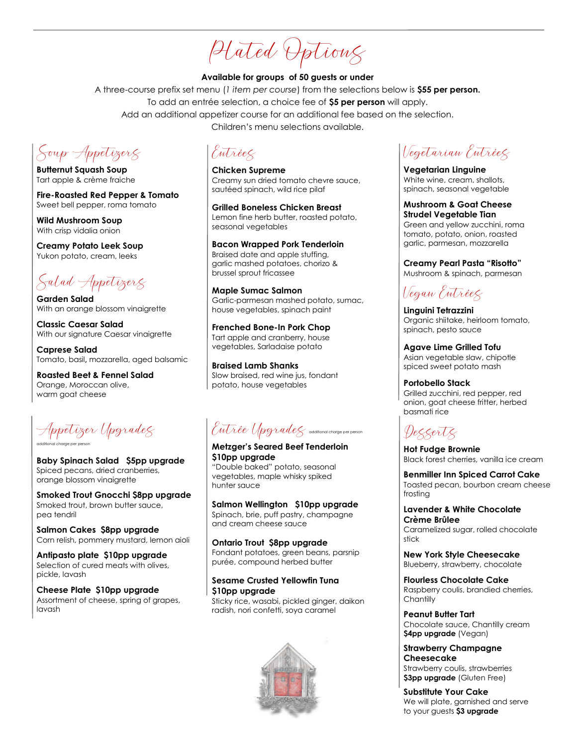Plated Options

#### **Available for groups of 50 guests or under**

A three-course prefix set menu (*1 item per course*) from the selections below is **\$55 per person.** To add an entrée selection, a choice fee of **\$5 per person** will apply. Add an additional appetizer course for an additional fee based on the selection. Children's menu selections available.

Soup Appetizers

**Butternut Squash Soup** Tart apple & crème fraiche

**Fire-Roasted Red Pepper & Tomato** Sweet bell pepper, roma tomato

**Wild Mushroom Soup** With crisp vidalia onion

**Creamy Potato Leek Soup** Yukon potato, cream, leeks

Salad Appetizers

**Garden Salad** With an orange blossom vinaigrette

**Classic Caesar Salad** With our signature Caesar vinaigrette

**Caprese Salad** Tomato, basil**,** mozzarella, aged balsamic

**Roasted Beet & Fennel Salad** Orange, Moroccan olive, warm goat cheese

Appetizer Upgrades additional charge per person

**Baby Spinach Salad \$5pp upgrade** Spiced pecans, dried cranberries, orange blossom vinaigrette

**Smoked Trout Gnocchi \$8pp upgrade** Smoked trout, brown butter sauce, pea tendril

**Salmon Cakes \$8pp upgrade** Corn relish, pommery mustard, lemon aioli

**Antipasto plate \$10pp upgrade** Selection of cured meats with olives, pickle, lavash

**Cheese Plate \$10pp upgrade** Assortment of cheese, spring of grapes, lavash

Entrées

**Chicken Supreme** Creamy sun dried tomato chevre sauce, sautéed spinach, wild rice pilaf

**Grilled Boneless Chicken Breast** Lemon fine herb butter, roasted potato, seasonal vegetables

**Bacon Wrapped Pork Tenderloin** Braised date and apple stuffing, garlic mashed potatoes, chorizo & brussel sprout fricassee

**Maple Sumac Salmon** Garlic-parmesan mashed potato, sumac, house vegetables, spinach paint

**Frenched Bone-In Pork Chop** Tart apple and cranberry, house vegetables, Sarladaise potato

**Braised Lamb Shanks** Slow braised, red wine jus, fondant potato, house vegetables

Entrée Upgrades additional charge per person

**Metzger's Seared Beef Tenderloin \$10pp upgrade**

"Double baked" potato, seasonal vegetables, maple whisky spiked hunter sauce

**Salmon Wellington \$10pp upgrade** Spinach, brie, puff pastry, champagne and cream cheese sauce

**Ontario Trout \$8pp upgrade** Fondant potatoes, green beans, parsnip purée, compound herbed butter

### **Sesame Crusted Yellowfin Tuna \$10pp upgrade**

Sticky rice, wasabi, pickled ginger, daikon radish, nori confetti, soya caramel



Vegetarian Entrées

**Vegetarian Linguine** White wine, cream, shallots, spinach, seasonal vegetable

#### **Mushroom & Goat Cheese Strudel Vegetable Tian**

Green and yellow zucchini, roma tomato, potato, onion, roasted garlic, parmesan, mozzarella

### **Creamy Pearl Pasta "Risotto"**

Mushroom & spinach, parmesan

Vegan Entrées

**Linguini Tetrazzini** Organic shiitake, heirloom tomato, spinach, pesto sauce

**Agave Lime Grilled Tofu** Asian vegetable slaw, chipotle spiced sweet potato mash

**Portobello Stack** Grilled zucchini, red pepper, red onion, goat cheese fritter, herbed basmati rice

# Desserts

**Hot Fudge Brownie**  Black forest cherries, vanilla ice cream

**Benmiller Inn Spiced Carrot Cake** Toasted pecan, bourbon cream cheese frosting

#### **Lavender & White Chocolate Crème Brûlee**

Caramelized sugar, rolled chocolate stick

**New York Style Cheesecake**  Blueberry, strawberry, chocolate

**Flourless Chocolate Cake** Raspberry coulis, brandied cherries, **Chantilly** 

**Peanut Butter Tart** Chocolate sauce, Chantilly cream **\$4pp upgrade** (Vegan)

**Strawberry Champagne Cheesecake** Strawberry coulis, strawberries **\$3pp upgrade** (Gluten Free)

**Substitute Your Cake**  We will plate, garnished and serve to your guests **\$3 upgrade**